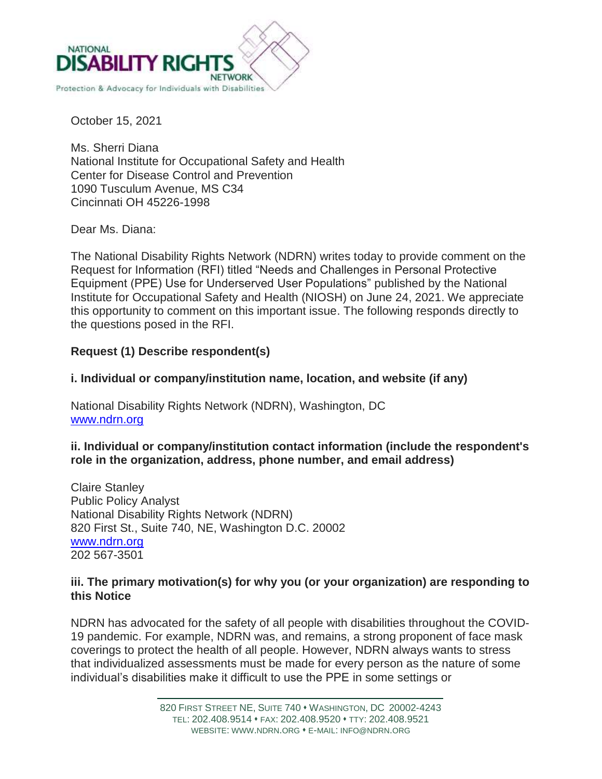

October 15, 2021

Ms. Sherri Diana National Institute for Occupational Safety and Health Center for Disease Control and Prevention 1090 Tusculum Avenue, MS C34 Cincinnati OH 45226-1998

Dear Ms. Diana:

The National Disability Rights Network (NDRN) writes today to provide comment on the Request for Information (RFI) titled "Needs and Challenges in Personal Protective Equipment (PPE) Use for Underserved User Populations" published by the National Institute for Occupational Safety and Health (NIOSH) on June 24, 2021. We appreciate this opportunity to comment on this important issue. The following responds directly to the questions posed in the RFI.

# **Request (1) Describe respondent(s)**

### **i. Individual or company/institution name, location, and website (if any)**

National Disability Rights Network (NDRN), Washington, DC [www.ndrn.org](http://www.ndrn.org/)

### **ii. Individual or company/institution contact information (include the respondent's role in the organization, address, phone number, and email address)**

Claire Stanley Public Policy Analyst National Disability Rights Network (NDRN) 820 First St., Suite 740, NE, Washington D.C. 20002 [www.ndrn.org](http://www.ndrn.org/) 202 567-3501

### **iii. The primary motivation(s) for why you (or your organization) are responding to this Notice**

NDRN has advocated for the safety of all people with disabilities throughout the COVID-19 pandemic. For example, NDRN was, and remains, a strong proponent of face mask coverings to protect the health of all people. However, NDRN always wants to stress that individualized assessments must be made for every person as the nature of some individual's disabilities make it difficult to use the PPE in some settings or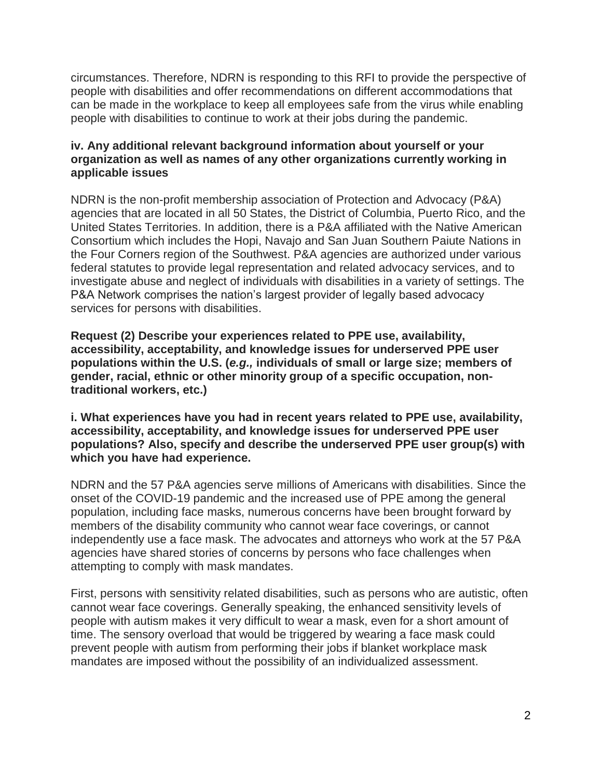circumstances. Therefore, NDRN is responding to this RFI to provide the perspective of people with disabilities and offer recommendations on different accommodations that can be made in the workplace to keep all employees safe from the virus while enabling people with disabilities to continue to work at their jobs during the pandemic.

## **iv. Any additional relevant background information about yourself or your organization as well as names of any other organizations currently working in applicable issues**

NDRN is the non-profit membership association of Protection and Advocacy (P&A) agencies that are located in all 50 States, the District of Columbia, Puerto Rico, and the United States Territories. In addition, there is a P&A affiliated with the Native American Consortium which includes the Hopi, Navajo and San Juan Southern Paiute Nations in the Four Corners region of the Southwest. P&A agencies are authorized under various federal statutes to provide legal representation and related advocacy services, and to investigate abuse and neglect of individuals with disabilities in a variety of settings. The P&A Network comprises the nation's largest provider of legally based advocacy services for persons with disabilities.

**Request (2) Describe your experiences related to PPE use, availability, accessibility, acceptability, and knowledge issues for underserved PPE user populations within the U.S. (***e.g.,* **individuals of small or large size; members of gender, racial, ethnic or other minority group of a specific occupation, nontraditional workers, etc.)**

**i. What experiences have you had in recent years related to PPE use, availability, accessibility, acceptability, and knowledge issues for underserved PPE user populations? Also, specify and describe the underserved PPE user group(s) with which you have had experience.**

NDRN and the 57 P&A agencies serve millions of Americans with disabilities. Since the onset of the COVID-19 pandemic and the increased use of PPE among the general population, including face masks, numerous concerns have been brought forward by members of the disability community who cannot wear face coverings, or cannot independently use a face mask. The advocates and attorneys who work at the 57 P&A agencies have shared stories of concerns by persons who face challenges when attempting to comply with mask mandates.

First, persons with sensitivity related disabilities, such as persons who are autistic, often cannot wear face coverings. Generally speaking, the enhanced sensitivity levels of people with autism makes it very difficult to wear a mask, even for a short amount of time. The sensory overload that would be triggered by wearing a face mask could prevent people with autism from performing their jobs if blanket workplace mask mandates are imposed without the possibility of an individualized assessment.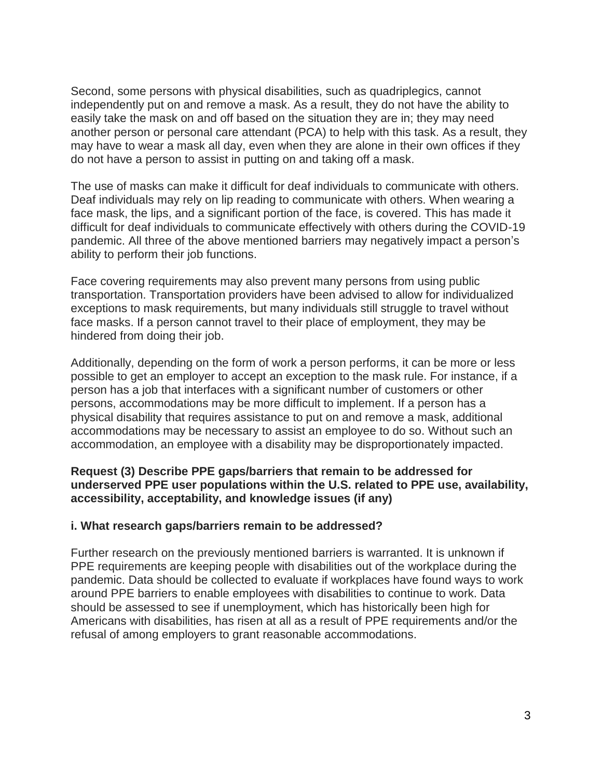Second, some persons with physical disabilities, such as quadriplegics, cannot independently put on and remove a mask. As a result, they do not have the ability to easily take the mask on and off based on the situation they are in; they may need another person or personal care attendant (PCA) to help with this task. As a result, they may have to wear a mask all day, even when they are alone in their own offices if they do not have a person to assist in putting on and taking off a mask.

The use of masks can make it difficult for deaf individuals to communicate with others. Deaf individuals may rely on lip reading to communicate with others. When wearing a face mask, the lips, and a significant portion of the face, is covered. This has made it difficult for deaf individuals to communicate effectively with others during the COVID-19 pandemic. All three of the above mentioned barriers may negatively impact a person's ability to perform their job functions.

Face covering requirements may also prevent many persons from using public transportation. Transportation providers have been advised to allow for individualized exceptions to mask requirements, but many individuals still struggle to travel without face masks. If a person cannot travel to their place of employment, they may be hindered from doing their job.

Additionally, depending on the form of work a person performs, it can be more or less possible to get an employer to accept an exception to the mask rule. For instance, if a person has a job that interfaces with a significant number of customers or other persons, accommodations may be more difficult to implement. If a person has a physical disability that requires assistance to put on and remove a mask, additional accommodations may be necessary to assist an employee to do so. Without such an accommodation, an employee with a disability may be disproportionately impacted.

**Request (3) Describe PPE gaps/barriers that remain to be addressed for underserved PPE user populations within the U.S. related to PPE use, availability, accessibility, acceptability, and knowledge issues (if any)**

#### **i. What research gaps/barriers remain to be addressed?**

Further research on the previously mentioned barriers is warranted. It is unknown if PPE requirements are keeping people with disabilities out of the workplace during the pandemic. Data should be collected to evaluate if workplaces have found ways to work around PPE barriers to enable employees with disabilities to continue to work. Data should be assessed to see if unemployment, which has historically been high for Americans with disabilities, has risen at all as a result of PPE requirements and/or the refusal of among employers to grant reasonable accommodations.